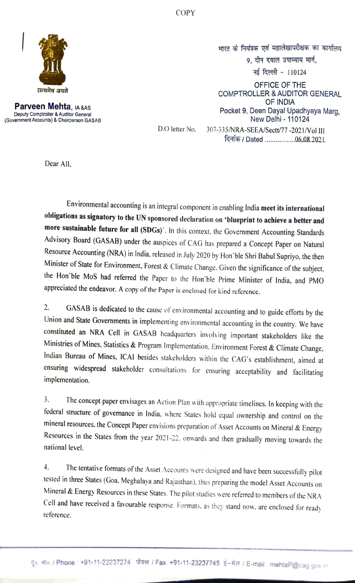COPY



Deputy Comptroller & Auditor General (Covemment Accounts) & Chairperson GASAB

भारत के नियंत्रक एवं महालेखापरीक्षक का कार्यालय 9. दीन दयाल उपाध्याय मार्ग, नई दिल्ली - 110124 OFFICE OF THE COMPTROLLER & AUDITOR GENERAL OF INDIA<br>Parveen Mehta, <sub>IA &AS</sub> Contract of the Contract of the Contract of the Contract of the Contract of the Contract of the Contract of the Contract of the Contract of the Contract of the Contract of the Contract of t Pocket 9, Deen Dayal Upadhyaya Marg, New Delhi - 110124

दिनांक / Dated ..................0.6.08.2021.

D.O letter No. 307-335/NRA-SEEA/Sectt/77-2021/Vol III

Dear All.

Environmental accounting is an integral component in enabling India meet its international obligations as signatory to the UN sponsored declaration on "blueprint to achieve a better and more sustainable future for all (SDGs)'. In this context, the Government Accounting Standards Advisory Board (GASAB) under the auspices of CAG has prepared a Concept Paper on Natural Resource Accounting (NRA) in India, released in July 2020 by Hon'ble Shri Babul Supriyo, the then<br>Minister of State for Environment, Forest & Climate Change. Given the significance of the subject, the Hon'ble MoS had referred the Paper to the Hon'ble Prime Minister of India, and PMO appreciated the endeavor. A copy of the Paper is enclosed for kind reference.

2. GASAB is dedicated to the cause of environmental accounting and to guide efforts by the Union and State Governments in implementing environmental accounting in the country. We have constituted an NRA Cell in GASAB headquarters involving important stakeholders like the Ministries of Mines, Statistics & Program Implementation, Environment Forest & Climate Change, Indian Bureau of Mines, ICAI besides stakeholders within the CAG's establishment, aimed at ensuring widespread stakeholder consultations for ensuring acceptability and facilitating implementation.

3. The concept paper envisages an Action Plan with appropriate timelines. In keeping with the federal structure of governance in India, where States hold equal ownership and control on the mineral resources, the Concept Paper envisions preparation of Asset Accounts on Mineral & Energy Resources in the States from the year 2021-22. onwards and then gradually moving towards the national level.

4. The tentative formats of the Asset Accounts were designed and have been successfully pilot tested in three States (Goa. Meghalaya and Rajasthan). thus preparing the model Asset Accounts on Mineral & Energy Resources in these States. The pilot studies were referred to members of the NRA Cell and have received a favourable response. Formats, as they stand now, are enclosed for ready reference.